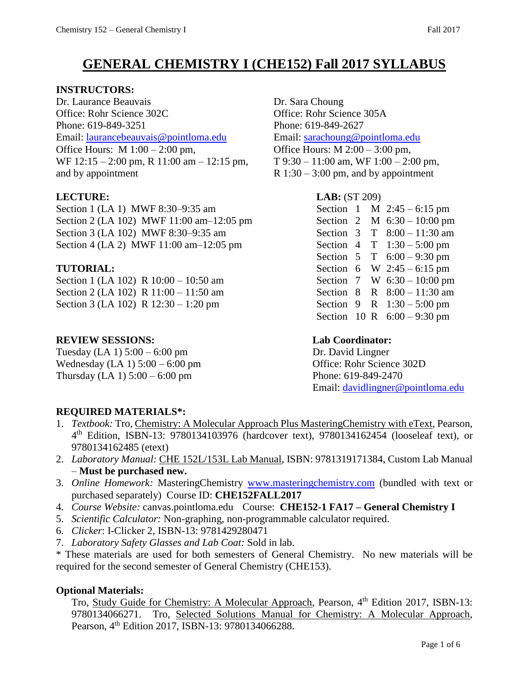# **GENERAL CHEMISTRY I (CHE152) Fall 2017 SYLLABUS**

# **INSTRUCTORS:**

Dr. Laurance Beauvais Dr. Sara Choung Office: Rohr Science 302C Office: Rohr Science 305A Phone: 619-849-3251 Phone: 619-849-2627 Email: [laurancebeauvais@pointloma.edu](mailto:laurancebeauvais@pointloma.edu) Email: [sarachoung@pointloma.edu](mailto:sarachoung@pointloma.edu) Office Hours: M 1:00 – 2:00 pm, **Office Hours: M 2:00 – 3:00 pm**, WF 12:15 – 2:00 pm, R 11:00 am – 12:15 pm, T 9:30 – 11:00 am, WF 1:00 – 2:00 pm, and by appointment  $R$  1:30 – 3:00 pm, and by appointment

Section 1 (LA 1) MWF 8:30-9:35 am Section 2 (LA 102) MWF 11:00 am-12:05 pm Section 3 (LA 102) MWF 8:30-9:35 am Section 4 (LA 2) MWF  $11:00$  am- $12:05$  pm

# $TUTORIAL:$

Section 1 (LA 102) R  $10:00 - 10:50$  am Section 2 (LA 102) R 11:00 – 11:50 am Section 3 (LA 102) R  $12:30 - 1:20$  pm

# **REVIEW SESSIONS: Lab Coordinator:**

Tuesday  $(LA 1) 5:00 - 6:00$  pm Dr. David Lingner Wednesday (LA 1) 5:00 – 6:00 pm Office: Rohr Science 302D Thursday (LA 1) 5:00 – 6:00 pm Phone: 619-849-2470

**LECTURE: LAB:** (ST 209)

| Section | 1 |    | M $2:45-6:15$ pm      |
|---------|---|----|-----------------------|
| Section | 2 |    | M $6:30 - 10:00$ pm   |
| Section | 3 | T  | $8:00 - 11:30$ am     |
| Section | 4 |    | $T = 1:30 - 5:00$ pm  |
| Section | 5 | T. | $6:00 - 9:30$ pm      |
| Section | 6 |    | W $2:45-6:15$ pm      |
| Section | 7 |    | W $6:30 - 10:00$ pm   |
| Section | 8 |    | R $8:00 - 11:30$ am   |
| Section | 9 |    | R $1:30 - 5:00$ pm    |
| Section |   |    | 10 R $6:00 - 9:30$ pm |
|         |   |    |                       |

Email: [davidlingner@pointloma.edu](mailto:davidlingner@pointloma.edu)

# **REQUIRED MATERIALS\*:**

- 1. Textbook: Tro, Chemistry: A Molecular Approach Plus MasteringChemistry with eText, Pearson, 4 th Edition, ISBN-13: 9780134103976 (hardcover text), 9780134162454 (looseleaf text), or 9780134162485 (etext)
- 2. *Laboratory Manual:* CHE 152L/153L Lab Manual, ISBN: 9781319171384, Custom Lab Manual – **Must be purchased new.**
- 3. *Online Homework:* MasteringChemistry [www.masteringchemistry.com](http://www.masteringchemistry.com/) (bundled with text or purchased separately) Course ID: **CHE152FALL2017**
- 4. *Course Website:* canvas.pointloma.edu Course: **CHE152-1 FA17 – General Chemistry I**
- 5. *Scientific Calculator:* Non-graphing, non-programmable calculator required.
- 6. *Clicker*: I-Clicker 2, ISBN-13: 9781429280471
- 7. *Laboratory Safety Glasses and Lab Coat:* Sold in lab.

\* These materials are used for both semesters of General Chemistry. No new materials will be required for the second semester of General Chemistry (CHE153).

# **Optional Materials:**

Tro, Study Guide for Chemistry: A Molecular Approach, Pearson, 4<sup>th</sup> Edition 2017, ISBN-13: 9780134066271. Tro, Selected Solutions Manual for Chemistry: A Molecular Approach, Pearson, 4<sup>th</sup> Edition 2017, ISBN-13: 9780134066288.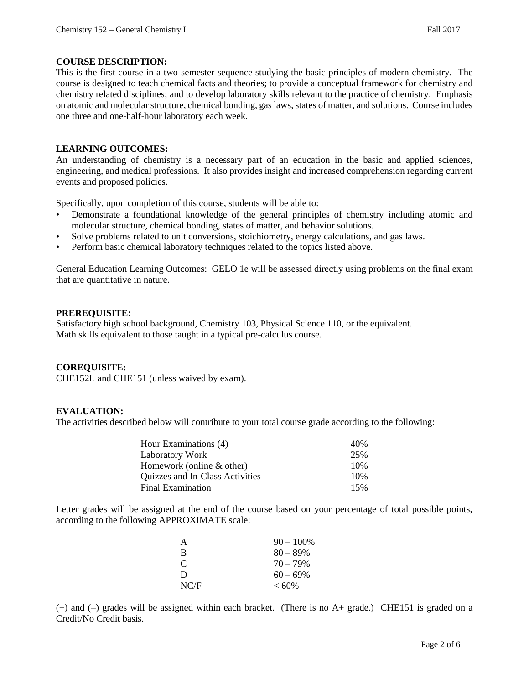#### **COURSE DESCRIPTION:**

This is the first course in a two-semester sequence studying the basic principles of modern chemistry. The course is designed to teach chemical facts and theories; to provide a conceptual framework for chemistry and chemistry related disciplines; and to develop laboratory skills relevant to the practice of chemistry. Emphasis on atomic and molecular structure, chemical bonding, gas laws, states of matter, and solutions. Course includes one three and one-half-hour laboratory each week.

#### **LEARNING OUTCOMES:**

An understanding of chemistry is a necessary part of an education in the basic and applied sciences, engineering, and medical professions. It also provides insight and increased comprehension regarding current events and proposed policies.

Specifically, upon completion of this course, students will be able to:

- Demonstrate a foundational knowledge of the general principles of chemistry including atomic and molecular structure, chemical bonding, states of matter, and behavior solutions.
- Solve problems related to unit conversions, stoichiometry, energy calculations, and gas laws.
- Perform basic chemical laboratory techniques related to the topics listed above.

General Education Learning Outcomes: GELO 1e will be assessed directly using problems on the final exam that are quantitative in nature.

#### **PREREQUISITE:**

Satisfactory high school background, Chemistry 103, Physical Science 110, or the equivalent. Math skills equivalent to those taught in a typical pre-calculus course.

#### **COREQUISITE:**

CHE152L and CHE151 (unless waived by exam).

#### **EVALUATION:**

The activities described below will contribute to your total course grade according to the following:

| Hour Examinations (4)           | 40% |
|---------------------------------|-----|
| <b>Laboratory Work</b>          | 25% |
| Homework (online $&$ other)     | 10% |
| Quizzes and In-Class Activities | 10% |
| Final Examination               | 15% |

Letter grades will be assigned at the end of the course based on your percentage of total possible points, according to the following APPROXIMATE scale:

| A             | $90 - 100\%$ |
|---------------|--------------|
| B             | $80 - 89\%$  |
| $\mathcal{C}$ | $70 - 79\%$  |
| D             | $60 - 69\%$  |
| NC/F          | $< 60\%$     |

(+) and (–) grades will be assigned within each bracket. (There is no A+ grade.) CHE151 is graded on a Credit/No Credit basis.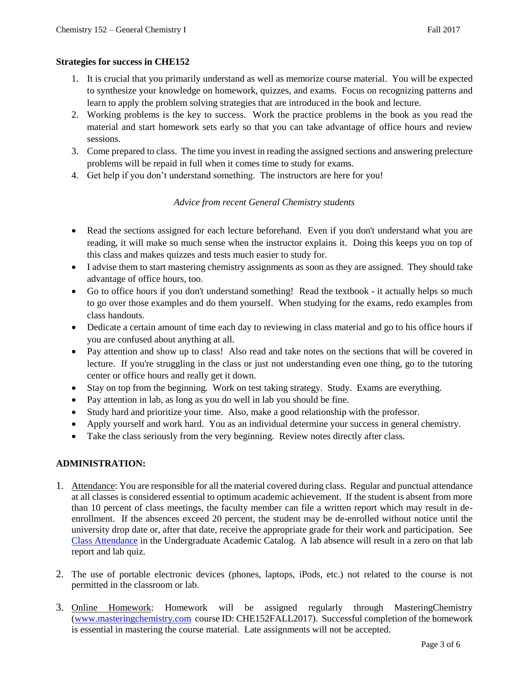### **Strategies for success in CHE152**

- 1. It is crucial that you primarily understand as well as memorize course material. You will be expected to synthesize your knowledge on homework, quizzes, and exams. Focus on recognizing patterns and learn to apply the problem solving strategies that are introduced in the book and lecture.
- 2. Working problems is the key to success. Work the practice problems in the book as you read the material and start homework sets early so that you can take advantage of office hours and review sessions.
- 3. Come prepared to class. The time you invest in reading the assigned sections and answering prelecture problems will be repaid in full when it comes time to study for exams.
- 4. Get help if you don't understand something. The instructors are here for you!

# *Advice from recent General Chemistry students*

- Read the sections assigned for each lecture beforehand. Even if you don't understand what you are reading, it will make so much sense when the instructor explains it. Doing this keeps you on top of this class and makes quizzes and tests much easier to study for.
- I advise them to start mastering chemistry assignments as soon as they are assigned. They should take advantage of office hours, too.
- Go to office hours if you don't understand something! Read the textbook it actually helps so much to go over those examples and do them yourself. When studying for the exams, redo examples from class handouts.
- Dedicate a certain amount of time each day to reviewing in class material and go to his office hours if you are confused about anything at all.
- Pay attention and show up to class! Also read and take notes on the sections that will be covered in lecture. If you're struggling in the class or just not understanding even one thing, go to the tutoring center or office hours and really get it down.
- Stay on top from the beginning. Work on test taking strategy. Study. Exams are everything.
- Pay attention in lab, as long as you do well in lab you should be fine.
- Study hard and prioritize your time. Also, make a good relationship with the professor.
- Apply yourself and work hard. You as an individual determine your success in general chemistry.
- Take the class seriously from the very beginning. Review notes directly after class.

# **ADMINISTRATION:**

- 1. Attendance: You are responsible for all the material covered during class. Regular and punctual attendance at all classes is considered essential to optimum academic achievement. If the student is absent from more than 10 percent of class meetings, the faculty member can file a written report which may result in deenrollment. If the absences exceed 20 percent, the student may be de-enrolled without notice until the university drop date or, after that date, receive the appropriate grade for their work and participation. See [Class Attendance](https://catalog.pointloma.edu/content.php?catoid=28&navoid=1761#Class_Attendance) in the Undergraduate Academic Catalog. A lab absence will result in a zero on that lab report and lab quiz.
- 2. The use of portable electronic devices (phones, laptops, iPods, etc.) not related to the course is not permitted in the classroom or lab.
- 3. Online Homework: Homework will be assigned regularly through MasteringChemistry [\(www.masteringchemistry.com](http://www.masteringchemistry.com/) course ID: CHE152FALL2017). Successful completion of the homework is essential in mastering the course material. Late assignments will not be accepted.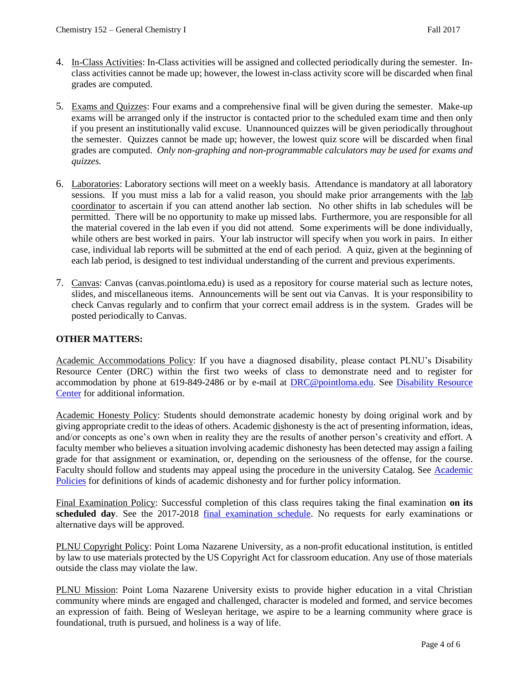- 4. In-Class Activities: In-Class activities will be assigned and collected periodically during the semester. Inclass activities cannot be made up; however, the lowest in-class activity score will be discarded when final grades are computed.
- 5. Exams and Quizzes: Four exams and a comprehensive final will be given during the semester. Make-up exams will be arranged only if the instructor is contacted prior to the scheduled exam time and then only if you present an institutionally valid excuse. Unannounced quizzes will be given periodically throughout the semester. Quizzes cannot be made up; however, the lowest quiz score will be discarded when final grades are computed. *Only non-graphing and non-programmable calculators may be used for exams and quizzes.*
- 6. Laboratories: Laboratory sections will meet on a weekly basis. Attendance is mandatory at all laboratory sessions. If you must miss a lab for a valid reason, you should make prior arrangements with the lab coordinator to ascertain if you can attend another lab section. No other shifts in lab schedules will be permitted. There will be no opportunity to make up missed labs. Furthermore, you are responsible for all the material covered in the lab even if you did not attend. Some experiments will be done individually, while others are best worked in pairs. Your lab instructor will specify when you work in pairs. In either case, individual lab reports will be submitted at the end of each period. A quiz, given at the beginning of each lab period, is designed to test individual understanding of the current and previous experiments.
- 7. Canvas: Canvas (canvas.pointloma.edu) is used as a repository for course material such as lecture notes, slides, and miscellaneous items. Announcements will be sent out via Canvas. It is your responsibility to check Canvas regularly and to confirm that your correct email address is in the system. Grades will be posted periodically to Canvas.

### **OTHER MATTERS:**

Academic Accommodations Policy: If you have a diagnosed disability, please contact PLNU's Disability Resource Center (DRC) within the first two weeks of class to demonstrate need and to register for accommodation by phone at 619-849-2486 or by e-mail at [DRC@pointloma.edu.](mailto:DRC@pointloma.edu) See [Disability Resource](http://www.pointloma.edu/experience/offices/administrative-offices/academic-advising-office/disability-resource-center)  [Center](http://www.pointloma.edu/experience/offices/administrative-offices/academic-advising-office/disability-resource-center) for additional information.

Academic Honesty Policy: Students should demonstrate academic honesty by doing original work and by giving appropriate credit to the ideas of others. Academic dishonesty is the act of presenting information, ideas, and/or concepts as one's own when in reality they are the results of another person's creativity and effort. A faculty member who believes a situation involving academic dishonesty has been detected may assign a failing grade for that assignment or examination, or, depending on the seriousness of the offense, for the course. Faculty should follow and students may appeal using the procedure in the university Catalog. See [Academic](https://catalog.pointloma.edu/content.php?catoid=28&navoid=1761)  [Policies](https://catalog.pointloma.edu/content.php?catoid=28&navoid=1761) for definitions of kinds of academic dishonesty and for further policy information.

Final Examination Policy: Successful completion of this class requires taking the final examination **on its scheduled day**. See the 2017-2018 final [examination schedule.](https://drive.google.com/file/d/0B_GGaV-aJW1SWnVNSzMwM2dJZXc/view) No requests for early examinations or alternative days will be approved.

PLNU Copyright Policy: Point Loma Nazarene University, as a non-profit educational institution, is entitled by law to use materials protected by the US Copyright Act for classroom education. Any use of those materials outside the class may violate the law.

PLNU Mission: Point Loma Nazarene University exists to provide higher education in a vital Christian community where minds are engaged and challenged, character is modeled and formed, and service becomes an expression of faith. Being of Wesleyan heritage, we aspire to be a learning community where grace is foundational, truth is pursued, and holiness is a way of life.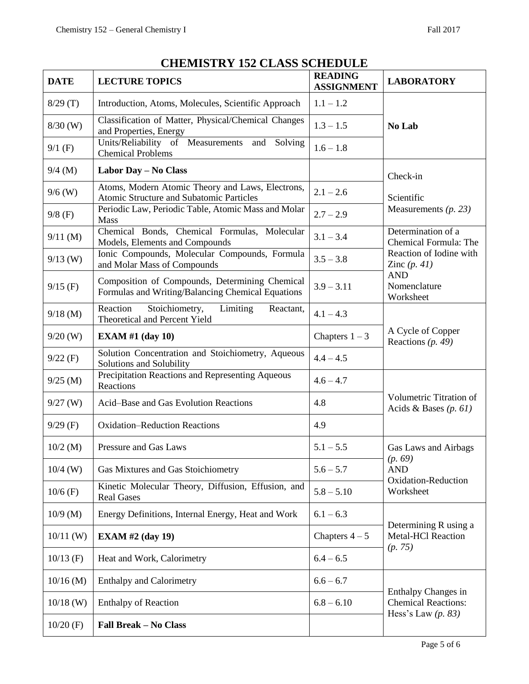| <b>DATE</b> | <b>LECTURE TOPICS</b>                                                                               | <b>READING</b><br><b>ASSIGNMENT</b>        | <b>LABORATORY</b>                                      |  |
|-------------|-----------------------------------------------------------------------------------------------------|--------------------------------------------|--------------------------------------------------------|--|
| 8/29(T)     | Introduction, Atoms, Molecules, Scientific Approach                                                 | $1.1 - 1.2$                                |                                                        |  |
| $8/30$ (W)  | Classification of Matter, Physical/Chemical Changes<br>and Properties, Energy                       | $1.3 - 1.5$                                | No Lab                                                 |  |
| $9/1$ (F)   | Units/Reliability of Measurements and Solving<br><b>Chemical Problems</b>                           | $1.6 - 1.8$                                |                                                        |  |
| $9/4$ (M)   | Labor Day - No Class                                                                                |                                            | Check-in<br>Scientific                                 |  |
| $9/6$ (W)   | Atoms, Modern Atomic Theory and Laws, Electrons,<br>Atomic Structure and Subatomic Particles        | $2.1 - 2.6$                                |                                                        |  |
| $9/8$ (F)   | Periodic Law, Periodic Table, Atomic Mass and Molar<br>Mass                                         | $2.7 - 2.9$                                | Measurements $(p. 23)$                                 |  |
| $9/11$ (M)  | Chemical Bonds, Chemical Formulas, Molecular<br>Models, Elements and Compounds                      | $3.1 - 3.4$                                | Determination of a<br>Chemical Formula: The            |  |
| $9/13$ (W)  | Ionic Compounds, Molecular Compounds, Formula<br>and Molar Mass of Compounds                        | $3.5 - 3.8$                                | Reaction of Iodine with<br>Zinc $(p. 41)$              |  |
| $9/15$ (F)  | Composition of Compounds, Determining Chemical<br>Formulas and Writing/Balancing Chemical Equations | $3.9 - 3.11$                               | <b>AND</b><br>Nomenclature<br>Worksheet                |  |
| $9/18$ (M)  | Reaction<br>Stoichiometry,<br>Limiting<br>Reactant,<br>Theoretical and Percent Yield                | $4.1 - 4.3$                                | A Cycle of Copper<br>Reactions $(p. 49)$               |  |
| $9/20$ (W)  | <b>EXAM #1 (day 10)</b>                                                                             | Chapters $1-3$                             |                                                        |  |
| $9/22$ (F)  | Solution Concentration and Stoichiometry, Aqueous<br>Solutions and Solubility                       | $4.4 - 4.5$                                |                                                        |  |
| $9/25$ (M)  | Precipitation Reactions and Representing Aqueous<br>Reactions                                       | $4.6 - 4.7$                                |                                                        |  |
| $9/27$ (W)  | Acid-Base and Gas Evolution Reactions                                                               | 4.8                                        | Volumetric Titration of<br>Acids & Bases $(p. 61)$     |  |
| $9/29$ (F)  | <b>Oxidation-Reduction Reactions</b>                                                                | 4.9                                        |                                                        |  |
| $10/2$ (M)  | Pressure and Gas Laws                                                                               | $5.1 - 5.5$                                | Gas Laws and Airbags<br>(p. 69)                        |  |
| $10/4$ (W)  | Gas Mixtures and Gas Stoichiometry                                                                  | $5.6 - 5.7$                                | <b>AND</b>                                             |  |
| $10/6$ (F)  | Kinetic Molecular Theory, Diffusion, Effusion, and<br><b>Real Gases</b>                             | $5.8 - 5.10$                               | Oxidation-Reduction<br>Worksheet                       |  |
| $10/9$ (M)  | Energy Definitions, Internal Energy, Heat and Work                                                  | $6.1 - 6.3$                                |                                                        |  |
| $10/11$ (W) | <b>EXAM #2 (day 19)</b>                                                                             | Chapters $4-5$                             | Determining R using a<br>Metal-HCl Reaction<br>(p. 75) |  |
| $10/13$ (F) | Heat and Work, Calorimetry                                                                          | $6.4 - 6.5$                                |                                                        |  |
| $10/16$ (M) | <b>Enthalpy and Calorimetry</b>                                                                     | $6.6 - 6.7$                                | Enthalpy Changes in                                    |  |
| $10/18$ (W) | <b>Enthalpy of Reaction</b>                                                                         | <b>Chemical Reactions:</b><br>$6.8 - 6.10$ | Hess's Law $(p. 83)$                                   |  |
| $10/20$ (F) | <b>Fall Break - No Class</b>                                                                        |                                            |                                                        |  |

# **CHEMISTRY 152 CLASS SCHEDULE**